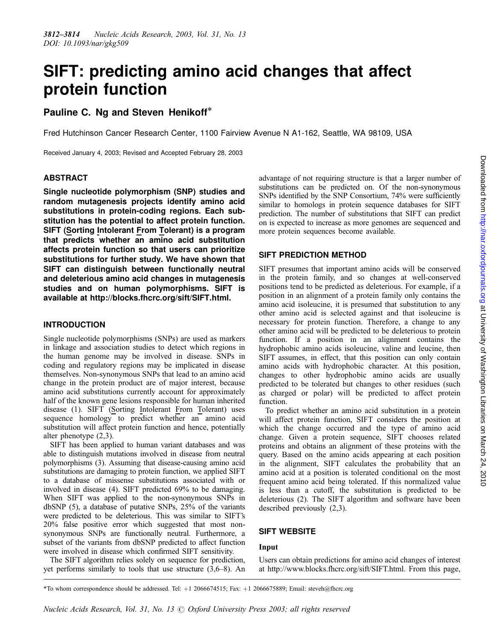# SIFT: predicting amino acid changes that affect protein function

# Pauline C. Ng and Steven Henikoff\*

Fred Hutchinson Cancer Research Center, 1100 Fairview Avenue N A1-162, Seattle, WA 98109, USA

Received January 4, 2003; Revised and Accepted February 28, 2003

#### ABSTRACT

Single nucleotide polymorphism (SNP) studies and random mutagenesis projects identify amino acid substitutions in protein-coding regions. Each substitution has the potential to affect protein function. SIFT (Sorting Intolerant From Tolerant) is a program that predicts whether an amino acid substitution affects protein function so that users can prioritize substitutions for further study. We have shown that SIFT can distinguish between functionally neutral and deleterious amino acid changes in mutagenesis studies and on human polymorphisms. SIFT is available at<http://blocks.fhcrc.org/sift/SIFT.html>.

#### INTRODUCTION

Single nucleotide polymorphisms (SNPs) are used as markers in linkage and association studies to detect which regions in the human genome may be involved in disease. SNPs in coding and regulatory regions may be implicated in disease themselves. Non-synonymous SNPs that lead to an amino acid change in the protein product are of major interest, because amino acid substitutions currently account for approximately half of the known gene lesions responsible for human inherited disease (1). SIFT (Sorting Intolerant From Tolerant) uses sequence homology to predict whether an amino acid substitution will affect protein function and hence, potentially alter phenotype (2,3).

SIFT has been applied to human variant databases and was able to distinguish mutations involved in disease from neutral polymorphisms (3). Assuming that disease-causing amino acid substitutions are damaging to protein function, we applied SIFT to a database of missense substitutions associated with or involved in disease (4). SIFT predicted 69% to be damaging. When SIFT was applied to the non-synonymous SNPs in dbSNP (5), a database of putative SNPs, 25% of the variants were predicted to be deleterious. This was similar to SIFT's 20% false positive error which suggested that most nonsynonymous SNPs are functionally neutral. Furthermore, a subset of the variants from dbSNP predicted to affect function were involved in disease which confirmed SIFT sensitivity.

The SIFT algorithm relies solely on sequence for prediction, yet performs similarly to tools that use structure (3,6–8). An advantage of not requiring structure is that a larger number of substitutions can be predicted on. Of the non-synonymous SNPs identified by the SNP Consortium, 74% were sufficiently similar to homologs in protein sequence databases for SIFT prediction. The number of substitutions that SIFT can predict on is expected to increase as more genomes are sequenced and more protein sequences become available.

# SIFT PREDICTION METHOD

SIFT presumes that important amino acids will be conserved in the protein family, and so changes at well-conserved positions tend to be predicted as deleterious. For example, if a position in an alignment of a protein family only contains the amino acid isoleucine, it is presumed that substitution to any other amino acid is selected against and that isoleucine is necessary for protein function. Therefore, a change to any other amino acid will be predicted to be deleterious to protein function. If a position in an alignment contains the hydrophobic amino acids isoleucine, valine and leucine, then SIFT assumes, in effect, that this position can only contain amino acids with hydrophobic character. At this position, changes to other hydrophobic amino acids are usually predicted to be tolerated but changes to other residues (such as charged or polar) will be predicted to affect protein function.

To predict whether an amino acid substitution in a protein will affect protein function, SIFT considers the position at which the change occurred and the type of amino acid change. Given a protein sequence, SIFT chooses related proteins and obtains an alignment of these proteins with the query. Based on the amino acids appearing at each position in the alignment, SIFT calculates the probability that an amino acid at a position is tolerated conditional on the most frequent amino acid being tolerated. If this normalized value is less than a cutoff, the substitution is predicted to be deleterious (2). The SIFT algorithm and software have been described previously (2,3).

# SIFT WEBSITE

# Input

Users can obtain predictions for amino acid changes of interest at [http://www.blocks.fhcrc.org/sift/SIFT.html.](http://www.blocks.fhcrc.org/sift/SIFT.html) From this page,

<sup>\*</sup>To whom correspondence should be addressed. Tel:  $+1$  2066674515; Fax:  $+1$  2066675889; Email: steveh@fhcrc.org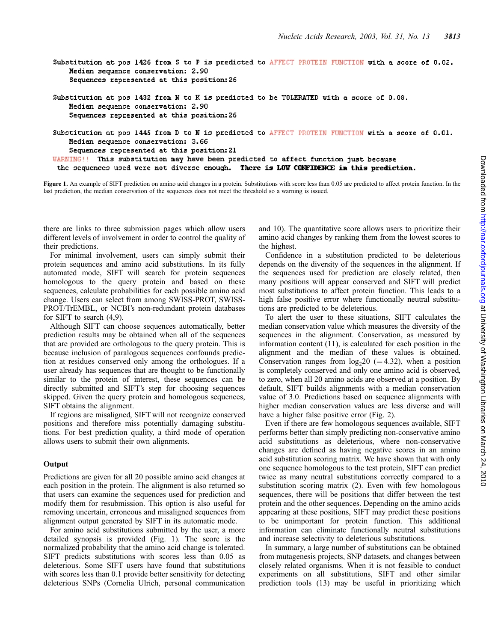```
Substitution at pos 1426 from S to P is predicted to AFFECT PROTEIN FUNCTION with a score of 0.02.
   Median sequence conservation: 2.90
    Sequences represented at this position: 26
Substitution at pos 1432 from N to K is predicted to be TOLERATED with a score of 0.08.
   Median sequence conservation: 2.90
   Sequences represented at this position: 26
Substitution at pos 1445 from D to N is predicted to AFFECT PROTEIN FUNCTION with a score of 0.01.
   Median sequence conservation: 3.66
    Sequences represented at this position: 21
WARNING!! This substitution may have been predicted to affect function just because
 the sequences used were not diverse enough. There is LOW CONFIDENCE in this prediction.
```
Figure 1. An example of SIFT prediction on amino acid changes in a protein. Substitutions with score less than 0.05 are predicted to affect protein function. In the last prediction, the median conservation of the sequences does not meet the threshold so a warning is issued.

there are links to three submission pages which allow users different levels of involvement in order to control the quality of their predictions.

For minimal involvement, users can simply submit their protein sequences and amino acid substitutions. In its fully automated mode, SIFT will search for protein sequences homologous to the query protein and based on these sequences, calculate probabilities for each possible amino acid change. Users can select from among SWISS-PROT, SWISS-PROT/TrEMBL, or NCBI's non-redundant protein databases for SIFT to search (4,9).

Although SIFT can choose sequences automatically, better prediction results may be obtained when all of the sequences that are provided are orthologous to the query protein. This is because inclusion of paralogous sequences confounds prediction at residues conserved only among the orthologues. If a user already has sequences that are thought to be functionally similar to the protein of interest, these sequences can be directly submitted and SIFT's step for choosing sequences skipped. Given the query protein and homologous sequences, SIFT obtains the alignment.

If regions are misaligned, SIFT will not recognize conserved positions and therefore miss potentially damaging substitutions. For best prediction quality, a third mode of operation allows users to submit their own alignments.

# **Output**

Predictions are given for all 20 possible amino acid changes at each position in the protein. The alignment is also returned so that users can examine the sequences used for prediction and modify them for resubmission. This option is also useful for removing uncertain, erroneous and misaligned sequences from alignment output generated by SIFT in its automatic mode.

For amino acid substitutions submitted by the user, a more detailed synopsis is provided (Fig. 1). The score is the normalized probability that the amino acid change is tolerated. SIFT predicts substitutions with scores less than 0.05 as deleterious. Some SIFT users have found that substitutions with scores less than 0.1 provide better sensitivity for detecting deleterious SNPs (Cornelia Ulrich, personal communication and 10). The quantitative score allows users to prioritize their amino acid changes by ranking them from the lowest scores to the highest.

Confidence in a substitution predicted to be deleterious depends on the diversity of the sequences in the alignment. If the sequences used for prediction are closely related, then many positions will appear conserved and SIFT will predict most substitutions to affect protein function. This leads to a high false positive error where functionally neutral substitutions are predicted to be deleterious.

To alert the user to these situations, SIFT calculates the median conservation value which measures the diversity of the sequences in the alignment. Conservation, as measured by information content (11), is calculated for each position in the alignment and the median of these values is obtained. Conservation ranges from  $log_2 20 (=4.32)$ , when a position is completely conserved and only one amino acid is observed, to zero, when all 20 amino acids are observed at a position. By default, SIFT builds alignments with a median conservation value of 3.0. Predictions based on sequence alignments with higher median conservation values are less diverse and will have a higher false positive error (Fig. 2).

Even if there are few homologous sequences available, SIFT performs better than simply predicting non-conservative amino acid substitutions as deleterious, where non-conservative changes are defined as having negative scores in an amino acid substitution scoring matrix. We have shown that with only one sequence homologous to the test protein, SIFT can predict twice as many neutral substitutions correctly compared to a substitution scoring matrix (2). Even with few homologous sequences, there will be positions that differ between the test protein and the other sequences. Depending on the amino acids appearing at these positions, SIFT may predict these positions to be unimportant for protein function. This additional information can eliminate functionally neutral substitutions and increase selectivity to deleterious substitutions.

In summary, a large number of substitutions can be obtained from mutagenesis projects, SNP datasets, and changes between closely related organisms. When it is not feasible to conduct experiments on all substitutions, SIFT and other similar prediction tools (13) may be useful in prioritizing which